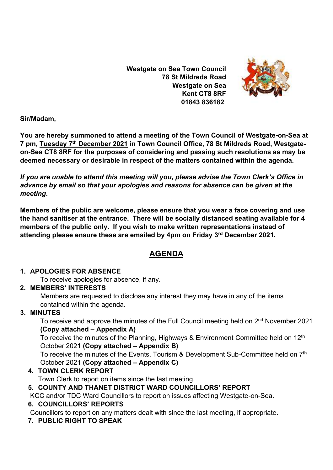**Westgate on Sea Town Council 78 St Mildreds Road Westgate on Sea Kent CT8 8RF 01843 836182**



**Sir/Madam,** 

**You are hereby summoned to attend a meeting of the Town Council of Westgate-on-Sea at 7 pm, Tuesday 7 th December 2021 in Town Council Office, 78 St Mildreds Road, Westgateon-Sea CT8 8RF for the purposes of considering and passing such resolutions as may be deemed necessary or desirable in respect of the matters contained within the agenda.**

*If you are unable to attend this meeting will you, please advise the Town Clerk's Office in advance by email so that your apologies and reasons for absence can be given at the meeting***.**

**Members of the public are welcome, please ensure that you wear a face covering and use the hand sanitiser at the entrance. There will be socially distanced seating available for 4 members of the public only. If you wish to make written representations instead of attending please ensure these are emailed by 4pm on Friday 3 rd December 2021.**

# **AGENDA**

#### **1. APOLOGIES FOR ABSENCE**

To receive apologies for absence, if any.

#### **2. MEMBERS' INTERESTS**

Members are requested to disclose any interest they may have in any of the items contained within the agenda.

# **3. MINUTES**

To receive and approve the minutes of the Full Council meeting held on 2<sup>nd</sup> November 2021 **(Copy attached – Appendix A)**

To receive the minutes of the Planning, Highways & Environment Committee held on 12<sup>th</sup> October 2021 **(Copy attached – Appendix B)**

To receive the minutes of the Events, Tourism & Development Sub-Committee held on 7<sup>th</sup> October 2021 **(Copy attached – Appendix C)**

# **4. TOWN CLERK REPORT**

Town Clerk to report on items since the last meeting.

# **5. COUNTY AND THANET DISTRICT WARD COUNCILLORS' REPORT**

KCC and/or TDC Ward Councillors to report on issues affecting Westgate-on-Sea.

#### **6. COUNCILLORS' REPORTS**

Councillors to report on any matters dealt with since the last meeting, if appropriate.

# **7. PUBLIC RIGHT TO SPEAK**